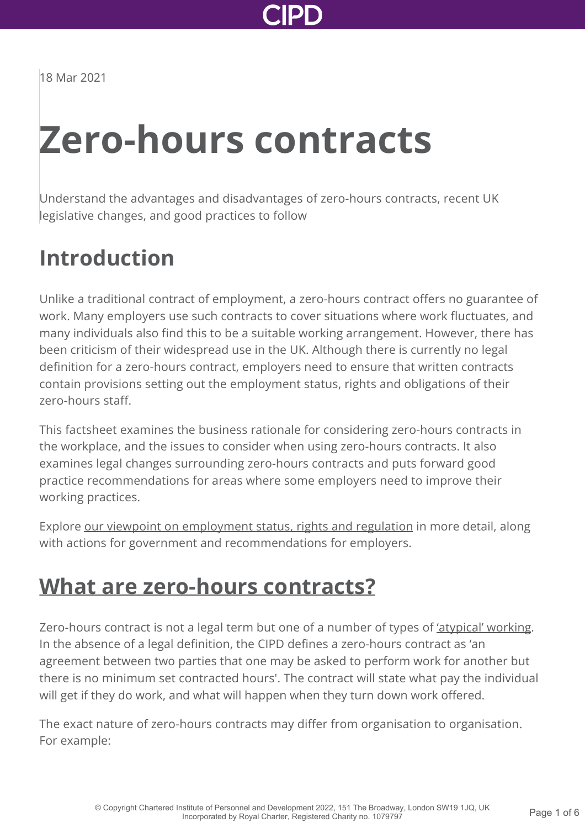

18 Mar 2021

# **Zero-hours contracts**

Understand the advantages and disadvantages of zero-hours contracts, recent UK legislative changes, and good practices to follow

### **Introduction**

Unlike a traditional contract of employment, a zero-hours contract offers no guarantee of work. Many employers use such contracts to cover situations where work fluctuates, and many individuals also find this to be a suitable working arrangement. However, there has been criticism of their widespread use in the UK. Although there is currently no legal definition for a zero-hours contract, employers need to ensure that written contracts contain provisions setting out the employment status, rights and obligations of their zero-hours staff.

This factsheet examines the business rationale for considering zero-hours contracts in the workplace, and the issues to consider when using zero-hours contracts. It also examines legal changes surrounding zero-hours contracts and puts forward good practice recommendations for areas where some employers need to improve their working practices.

Explore [our viewpoint on employment status, rights and regulation](http://www.cipd.co.uk/news-views/viewpoint/employment-status-rights/) in more detail, along with actions for government and recommendations for employers.

### **[What are zero-hours contracts?](http://www.cipd.co.uk/knowledge/fundamentals/emp-law/terms-conditions/zero-hours-factsheet?pdf=true#)**

Zero-hours contract is not a legal term but one of a number of types of ['atypical' working](http://www.cipd.co.uk/knowledge/work/trends/atypical-working-guide/). In the absence of a legal definition, the CIPD defines a zero-hours contract as 'an agreement between two parties that one may be asked to perform work for another but there is no minimum set contracted hours'. The contract will state what pay the individual will get if they do work, and what will happen when they turn down work offered.

The exact nature of zero-hours contracts may differ from organisation to organisation. For example: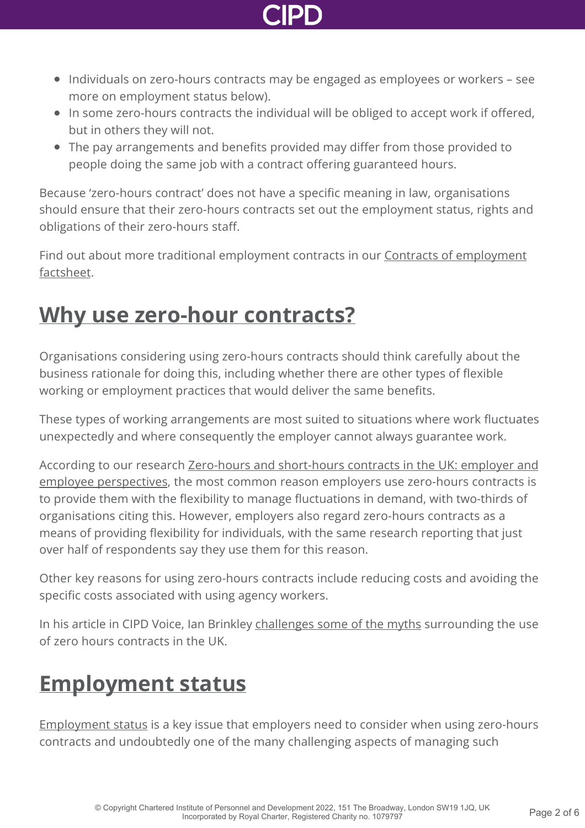

- Individuals on zero-hours contracts may be engaged as employees or workers see more on employment status below).
- In some zero-hours contracts the individual will be obliged to accept work if offered, but in others they will not.
- The pay arrangements and benefits provided may differ from those provided to people doing the same job with a contract offering guaranteed hours.

Because 'zero-hours contract' does not have a specific meaning in law, organisations should ensure that their zero-hours contracts set out the employment status, rights and obligations of their zero-hours staff.

[Find out about more traditional employment contracts in our Contracts of employment](http://www.cipd.co.uk/knowledge/fundamentals/emp-law/terms-conditions/contracts-factsheet/) factsheet.

### **[Why use zero-hour contracts?](http://www.cipd.co.uk/knowledge/fundamentals/emp-law/terms-conditions/zero-hours-factsheet?pdf=true#)**

Organisations considering using zero-hours contracts should think carefully about the business rationale for doing this, including whether there are other types of flexible working or employment practices that would deliver the same benefits.

These types of working arrangements are most suited to situations where work fluctuates unexpectedly and where consequently the employer cannot always guarantee work.

[According to our research Zero-hours and short-hours contracts in the UK: employer and](http://www.cipd.co.uk/knowledge/fundamentals/emp-law/terms-conditions/zero-hours-views-report/) employee perspectives, the most common reason employers use zero-hours contracts is to provide them with the flexibility to manage fluctuations in demand, with two-thirds of organisations citing this. However, employers also regard zero-hours contracts as a means of providing flexibility for individuals, with the same research reporting that just over half of respondents say they use them for this reason.

Other key reasons for using zero-hours contracts include reducing costs and avoiding the specific costs associated with using agency workers.

In his article in CIPD Voice, Ian Brinkley [challenges some of the myths](http://www.cipd.co.uk/news-views/cipd-voice/issue-14/defence-zero-hours-contracts/) surrounding the use of zero hours contracts in the UK.

## **[Employment status](http://www.cipd.co.uk/knowledge/fundamentals/emp-law/terms-conditions/zero-hours-factsheet?pdf=true#)**

[Employment status](http://www.cipd.co.uk/knowledge/fundamentals/emp-law/employees/status-factsheet/) is a key issue that employers need to consider when using zero-hours contracts and undoubtedly one of the many challenging aspects of managing such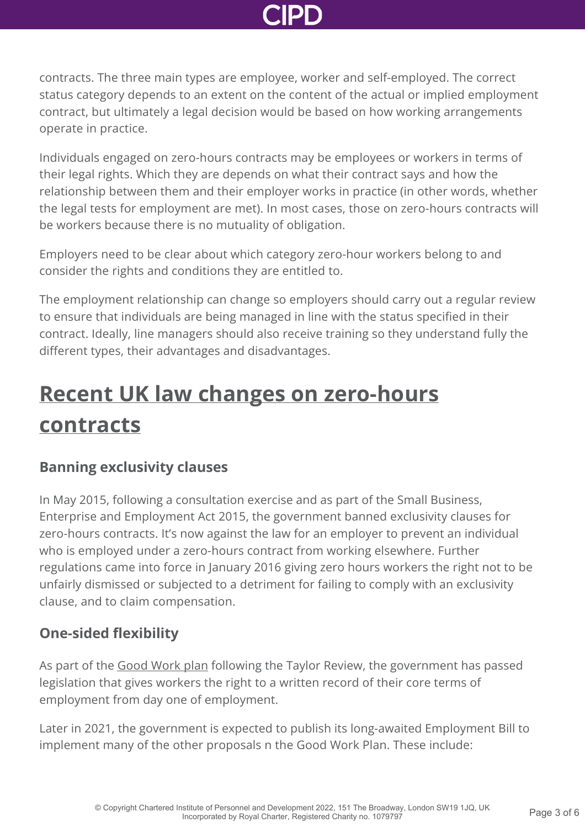contracts. The three main types are employee, worker and self-employed. The correct status category depends to an extent on the content of the actual or implied employment contract, but ultimately a legal decision would be based on how working arrangements operate in practice.

Individuals engaged on zero-hours contracts may be employees or workers in terms of their legal rights. Which they are depends on what their contract says and how the relationship between them and their employer works in practice (in other words, whether the legal tests for employment are met). In most cases, those on zero-hours contracts will be workers because there is no mutuality of obligation.

Employers need to be clear about which category zero-hour workers belong to and consider the rights and conditions they are entitled to.

The employment relationship can change so employers should carry out a regular review to ensure that individuals are being managed in line with the status specified in their contract. Ideally, line managers should also receive training so they understand fully the different types, their advantages and disadvantages.

## **[Recent UK law changes on zero-hours](http://www.cipd.co.uk/knowledge/fundamentals/emp-law/terms-conditions/zero-hours-factsheet?pdf=true#) contracts**

#### **Banning exclusivity clauses**

In May 2015, following a consultation exercise and as part of the Small Business, Enterprise and Employment Act 2015, the government banned exclusivity clauses for zero-hours contracts. It's now against the law for an employer to prevent an individual who is employed under a zero-hours contract from working elsewhere. Further regulations came into force in January 2016 giving zero hours workers the right not to be unfairly dismissed or subjected to a detriment for failing to comply with an exclusivity clause, and to claim compensation.

### **One-sided flexibility**

As part of the [Good Work plan](https://www.rec.uk.com/__data/assets/pdf_file/0004/474610/Governments-Good-work-plan-December-2018.pdf) following the Taylor Review, the government has passed legislation that gives workers the right to a written record of their core terms of employment from day one of employment.

Later in 2021, the government is expected to publish its long-awaited Employment Bill to implement many of the other proposals n the Good Work Plan. These include: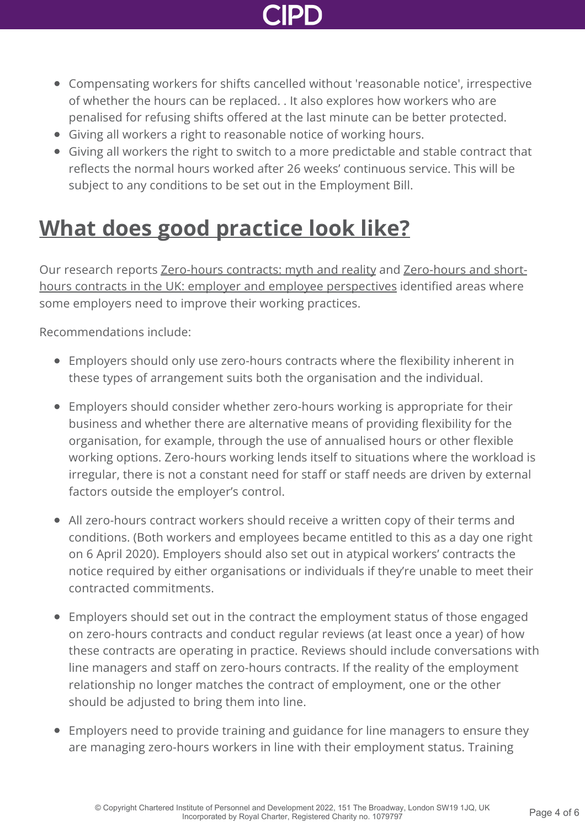

- Compensating workers for shifts cancelled without 'reasonable notice', irrespective of whether the hours can be replaced. . It also explores how workers who are penalised for refusing shifts offered at the last minute can be better protected.
- Giving all workers a right to reasonable notice of working hours.
- Giving all workers the right to switch to a more predictable and stable contract that reflects the normal hours worked after 26 weeks' continuous service. This will be subject to any conditions to be set out in the Employment Bill.

## **[What does good practice look like?](http://www.cipd.co.uk/knowledge/fundamentals/emp-law/terms-conditions/zero-hours-factsheet?pdf=true#)**

[Our research reports Z](http://www.cipd.co.uk/knowledge/fundamentals/emp-law/terms-conditions/zero-hours-views-report/)[ero-hours contracts: myth and reality](http://www.cipd.co.uk/knowledge/fundamentals/emp-law/terms-conditions/zero-hours-reality-report/) [and Zero-hours and short](http://www.cipd.co.uk/knowledge/fundamentals/emp-law/terms-conditions/zero-hours-views-report/)hours contracts in the UK: employer and employee perspectives identified areas where some employers need to improve their working practices.

Recommendations include:

- Employers should only use zero-hours contracts where the flexibility inherent in these types of arrangement suits both the organisation and the individual.
- Employers should consider whether zero-hours working is appropriate for their business and whether there are alternative means of providing flexibility for the organisation, for example, through the use of annualised hours or other flexible working options. Zero-hours working lends itself to situations where the workload is irregular, there is not a constant need for staff or staff needs are driven by external factors outside the employer's control.
- All zero-hours contract workers should receive a written copy of their terms and conditions. (Both workers and employees became entitled to this as a day one right on 6 April 2020). Employers should also set out in atypical workers' contracts the notice required by either organisations or individuals if they're unable to meet their contracted commitments.
- Employers should set out in the contract the employment status of those engaged on zero-hours contracts and conduct regular reviews (at least once a year) of how these contracts are operating in practice. Reviews should include conversations with line managers and staff on zero-hours contracts. If the reality of the employment relationship no longer matches the contract of employment, one or the other should be adjusted to bring them into line.
- Employers need to provide training and guidance for line managers to ensure they are managing zero-hours workers in line with their employment status. Training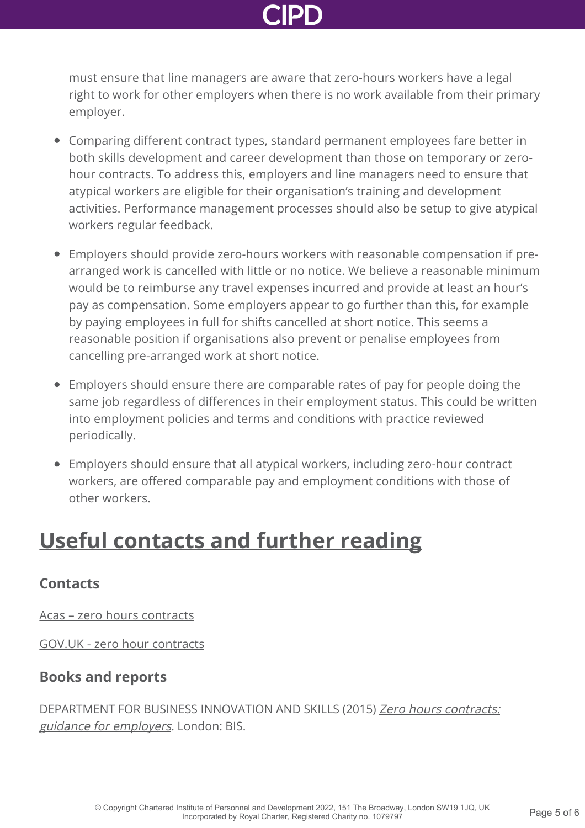must ensure that line managers are aware that zero-hours workers have a legal right to work for other employers when there is no work available from their primary employer.

- Comparing different contract types, standard permanent employees fare better in both skills development and career development than those on temporary or zerohour contracts. To address this, employers and line managers need to ensure that atypical workers are eligible for their organisation's training and development activities. Performance management processes should also be setup to give atypical workers regular feedback.
- Employers should provide zero-hours workers with reasonable compensation if prearranged work is cancelled with little or no notice. We believe a reasonable minimum would be to reimburse any travel expenses incurred and provide at least an hour's pay as compensation. Some employers appear to go further than this, for example by paying employees in full for shifts cancelled at short notice. This seems a reasonable position if organisations also prevent or penalise employees from cancelling pre-arranged work at short notice.
- Employers should ensure there are comparable rates of pay for people doing the same job regardless of differences in their employment status. This could be written into employment policies and terms and conditions with practice reviewed periodically.
- Employers should ensure that all atypical workers, including zero-hour contract workers, are offered comparable pay and employment conditions with those of other workers.

## **[Useful contacts and further reading](http://www.cipd.co.uk/knowledge/fundamentals/emp-law/terms-conditions/zero-hours-factsheet?pdf=true#)**

#### **Contacts**

[Acas – zero hours contracts](http://www.acas.org.uk/zerohours)

[GOV.UK - zero hour contracts](https://www.gov.uk/contract-types-and-employer-responsibilities/zero-hour-contracts)

### **Books and reports**

[DEPARTMENT FOR BUSINESS INNOVATION AND SKILLS \(2015\)](https://www.gov.uk/government/publications/zero-hours-contracts-guidance-for-employers) Zero hours contracts: guidance for employers. London: BIS.